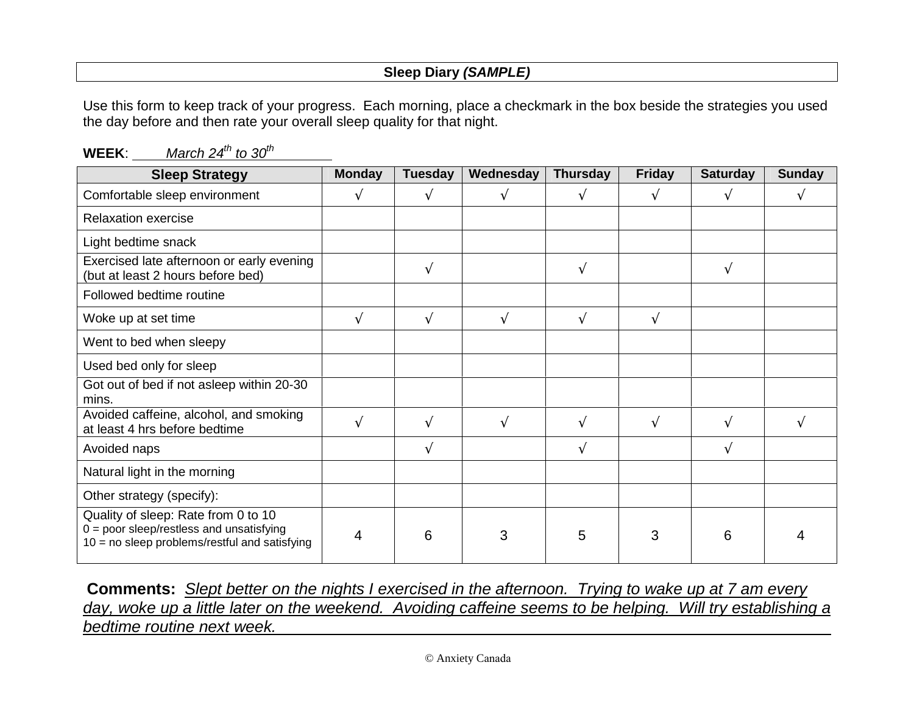## **Sleep Diary (SAMPLE)**

Use this form to keep track of your progress. Each morning, place a checkmark in the box beside the strategies you used the day before and then rate your overall sleep quality for that night.

| <b>Sleep Strategy</b>                                                                                                                | <b>Monday</b> | <b>Tuesday</b> | Wednesday | <b>Thursday</b> | <b>Friday</b> | <b>Saturday</b> | <b>Sunday</b> |
|--------------------------------------------------------------------------------------------------------------------------------------|---------------|----------------|-----------|-----------------|---------------|-----------------|---------------|
| Comfortable sleep environment                                                                                                        | V             | V              |           | V               |               | V               |               |
| <b>Relaxation exercise</b>                                                                                                           |               |                |           |                 |               |                 |               |
| Light bedtime snack                                                                                                                  |               |                |           |                 |               |                 |               |
| Exercised late afternoon or early evening<br>(but at least 2 hours before bed)                                                       |               | $\sqrt{ }$     |           | $\sqrt{ }$      |               | N               |               |
| Followed bedtime routine                                                                                                             |               |                |           |                 |               |                 |               |
| Woke up at set time                                                                                                                  | N             | $\sqrt{ }$     | V         | V               | $\sqrt{ }$    |                 |               |
| Went to bed when sleepy                                                                                                              |               |                |           |                 |               |                 |               |
| Used bed only for sleep                                                                                                              |               |                |           |                 |               |                 |               |
| Got out of bed if not asleep within 20-30<br>mins.                                                                                   |               |                |           |                 |               |                 |               |
| Avoided caffeine, alcohol, and smoking<br>at least 4 hrs before bedtime                                                              | $\sqrt{ }$    | $\sqrt{ }$     |           | N               | $\mathcal{N}$ | N               |               |
| Avoided naps                                                                                                                         |               | V              |           | V               |               | V               |               |
| Natural light in the morning                                                                                                         |               |                |           |                 |               |                 |               |
| Other strategy (specify):                                                                                                            |               |                |           |                 |               |                 |               |
| Quality of sleep: Rate from 0 to 10<br>$0 =$ poor sleep/restless and unsatisfying<br>$10 = no$ sleep problems/restful and satisfying | 4             | 6              | 3         | 5               | 3             | 6               |               |

**WEEK:** March  $24^{th}$  to  $30^{th}$ 

**Comments:** Slept better on the nights I exercised in the afternoon. Trying to wake up at 7 am every day, woke up a little later on the weekend. Avoiding caffeine seems to be helping. Will try establishing a bedtime routine next week.